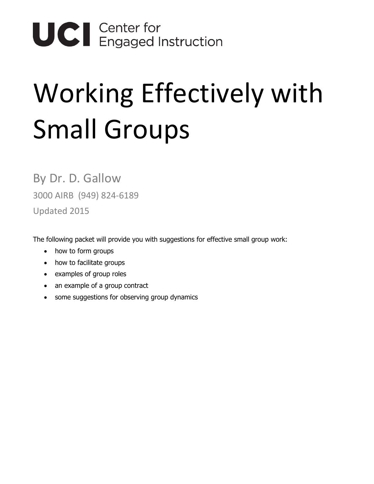## UCI Center for<br>Engaged Instruction

# Working Effectively with Small Groups

By Dr. D. Gallow 3000 AIRB (949) 824-6189 Updated 2015

The following packet will provide you with suggestions for effective small group work:

- how to form groups
- how to facilitate groups
- examples of group roles
- an example of a group contract
- some suggestions for observing group dynamics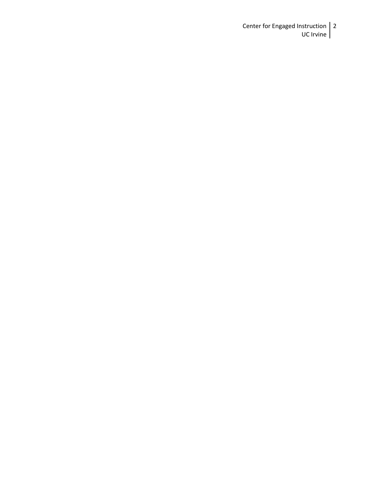Center for Engaged Instruction UC Irvine 2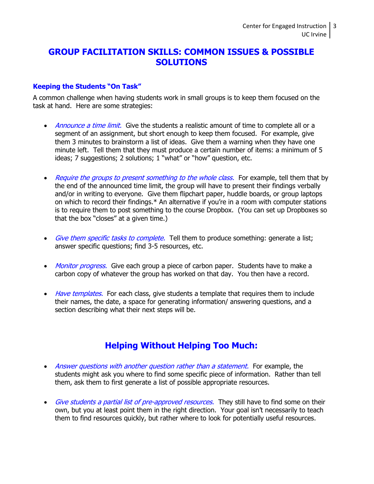## **GROUP FACILITATION SKILLS: COMMON ISSUES & POSSIBLE SOLUTIONS**

#### **Keeping the Students "On Task"**

A common challenge when having students work in small groups is to keep them focused on the task at hand. Here are some strategies:

- Announce a time limit. Give the students a realistic amount of time to complete all or a segment of an assignment, but short enough to keep them focused. For example, give them 3 minutes to brainstorm a list of ideas. Give them a warning when they have one minute left. Tell them that they must produce a certain number of items: a minimum of 5 ideas; 7 suggestions; 2 solutions; 1 "what" or "how" question, etc.
- Require the groups to present something to the whole class. For example, tell them that by the end of the announced time limit, the group will have to present their findings verbally and/or in writing to everyone. Give them flipchart paper, huddle boards, or group laptops on which to record their findings.\* An alternative if you're in a room with computer stations is to require them to post something to the course Dropbox. (You can set up Dropboxes so that the box "closes" at a given time.)
- Give them specific tasks to complete. Tell them to produce something: generate a list; answer specific questions; find 3-5 resources, etc.
- Monitor progress. Give each group a piece of carbon paper. Students have to make a carbon copy of whatever the group has worked on that day. You then have a record.
- Have templates. For each class, give students a template that requires them to include their names, the date, a space for generating information/ answering questions, and a section describing what their next steps will be.

## **Helping Without Helping Too Much:**

- Answer questions with another question rather than a statement. For example, the students might ask you where to find some specific piece of information. Rather than tell them, ask them to first generate a list of possible appropriate resources.
- Give students a partial list of pre-approved resources. They still have to find some on their own, but you at least point them in the right direction. Your goal isn't necessarily to teach them to find resources quickly, but rather where to look for potentially useful resources.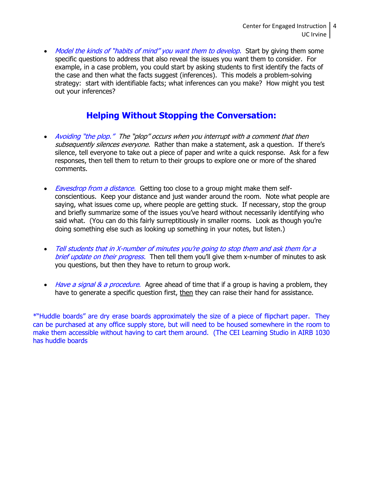• Model the kinds of "habits of mind" you want them to develop. Start by giving them some specific questions to address that also reveal the issues you want them to consider. For example, in a case problem, you could start by asking students to first identify the facts of the case and then what the facts suggest (inferences). This models a problem-solving strategy: start with identifiable facts; what inferences can you make? How might you test out your inferences?

## **Helping Without Stopping the Conversation:**

- Avoiding "the plop." The "plop" occurs when you interrupt with a comment that then subsequently silences everyone. Rather than make a statement, ask a question. If there's silence, tell everyone to take out a piece of paper and write a quick response. Ask for a few responses, then tell them to return to their groups to explore one or more of the shared comments.
- *Eavesdrop from a distance.* Getting too close to a group might make them selfconscientious. Keep your distance and just wander around the room. Note what people are saying, what issues come up, where people are getting stuck. If necessary, stop the group and briefly summarize some of the issues you've heard without necessarily identifying who said what. (You can do this fairly surreptitiously in smaller rooms. Look as though you're doing something else such as looking up something in your notes, but listen.)
- Tell students that in X-number of minutes you're going to stop them and ask them for a brief update on their progress. Then tell them you'll give them x-number of minutes to ask you questions, but then they have to return to group work.
- $\bullet$  Have a signal & a procedure. Agree ahead of time that if a group is having a problem, they have to generate a specific question first, then they can raise their hand for assistance.

\*"Huddle boards" are dry erase boards approximately the size of a piece of flipchart paper. They can be purchased at any office supply store, but will need to be housed somewhere in the room to make them accessible without having to cart them around. (The CEI Learning Studio in AIRB 1030 has huddle boards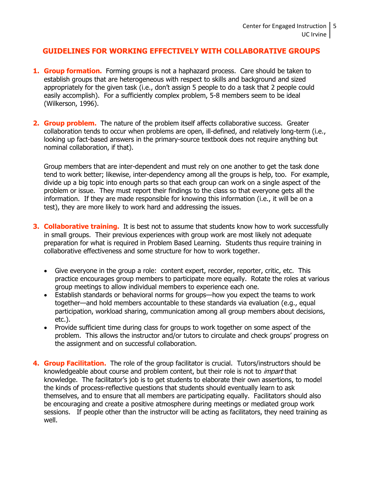#### **GUIDELINES FOR WORKING EFFECTIVELY WITH COLLABORATIVE GROUPS**

- **1. Group formation.** Forming groups is not a haphazard process. Care should be taken to establish groups that are heterogeneous with respect to skills and background and sized appropriately for the given task (i.e., don't assign 5 people to do a task that 2 people could easily accomplish). For a sufficiently complex problem, 5-8 members seem to be ideal (Wilkerson, 1996).
- **2. Group problem.** The nature of the problem itself affects collaborative success. Greater collaboration tends to occur when problems are open, ill-defined, and relatively long-term (i.e., looking up fact-based answers in the primary-source textbook does not require anything but nominal collaboration, if that).

Group members that are inter-dependent and must rely on one another to get the task done tend to work better; likewise, inter-dependency among all the groups is help, too. For example, divide up a big topic into enough parts so that each group can work on a single aspect of the problem or issue. They must report their findings to the class so that everyone gets all the information. If they are made responsible for knowing this information (i.e., it will be on a test), they are more likely to work hard and addressing the issues.

- **3. Collaborative training.** It is best not to assume that students know how to work successfully in small groups. Their previous experiences with group work are most likely not adequate preparation for what is required in Problem Based Learning. Students thus require training in collaborative effectiveness and some structure for how to work together.
	- Give everyone in the group a role: content expert, recorder, reporter, critic, etc. This practice encourages group members to participate more equally. Rotate the roles at various group meetings to allow individual members to experience each one.
	- Establish standards or behavioral norms for groups—how you expect the teams to work together—and hold members accountable to these standards via evaluation (e.g., equal participation, workload sharing, communication among all group members about decisions, etc.).
	- Provide sufficient time during class for groups to work together on some aspect of the problem. This allows the instructor and/or tutors to circulate and check groups' progress on the assignment and on successful collaboration.
- **4. Group Facilitation.** The role of the group facilitator is crucial. Tutors/instructors should be knowledgeable about course and problem content, but their role is not to *impart* that knowledge. The facilitator's job is to get students to elaborate their own assertions, to model the kinds of process-reflective questions that students should eventually learn to ask themselves, and to ensure that all members are participating equally. Facilitators should also be encouraging and create a positive atmosphere during meetings or mediated group work sessions. If people other than the instructor will be acting as facilitators, they need training as well.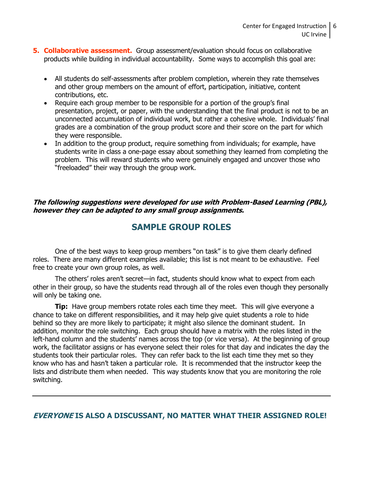- **5. Collaborative assessment.** Group assessment/evaluation should focus on collaborative products while building in individual accountability. Some ways to accomplish this goal are:
	- All students do self-assessments after problem completion, wherein they rate themselves and other group members on the amount of effort, participation, initiative, content contributions, etc.
	- Require each group member to be responsible for a portion of the group's final presentation, project, or paper, with the understanding that the final product is not to be an unconnected accumulation of individual work, but rather a cohesive whole. Individuals' final grades are a combination of the group product score and their score on the part for which they were responsible.
	- In addition to the group product, require something from individuals; for example, have students write in class a one-page essay about something they learned from completing the problem. This will reward students who were genuinely engaged and uncover those who "freeloaded" their way through the group work.

#### **The following suggestions were developed for use with Problem-Based Learning (PBL), however they can be adapted to any small group assignments.**

### **SAMPLE GROUP ROLES**

One of the best ways to keep group members "on task" is to give them clearly defined roles. There are many different examples available; this list is not meant to be exhaustive. Feel free to create your own group roles, as well.

The others' roles aren't secret—in fact, students should know what to expect from each other in their group, so have the students read through all of the roles even though they personally will only be taking one.

**Tip:** Have group members rotate roles each time they meet. This will give everyone a chance to take on different responsibilities, and it may help give quiet students a role to hide behind so they are more likely to participate; it might also silence the dominant student. In addition, monitor the role switching. Each group should have a matrix with the roles listed in the left-hand column and the students' names across the top (or vice versa). At the beginning of group work, the facilitator assigns or has everyone select their roles for that day and indicates the day the students took their particular roles. They can refer back to the list each time they met so they know who has and hasn't taken a particular role. It is recommended that the instructor keep the lists and distribute them when needed. This way students know that you are monitoring the role switching.

#### **EVERYONE IS ALSO A DISCUSSANT, NO MATTER WHAT THEIR ASSIGNED ROLE!**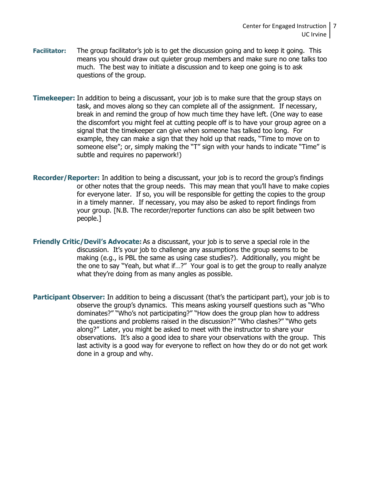- **Facilitator:** The group facilitator's job is to get the discussion going and to keep it going. This means you should draw out quieter group members and make sure no one talks too much. The best way to initiate a discussion and to keep one going is to ask questions of the group.
- **Timekeeper:** In addition to being a discussant, your job is to make sure that the group stays on task, and moves along so they can complete all of the assignment. If necessary, break in and remind the group of how much time they have left. (One way to ease the discomfort you might feel at cutting people off is to have your group agree on a signal that the timekeeper can give when someone has talked too long. For example, they can make a sign that they hold up that reads, "Time to move on to someone else"; or, simply making the "T" sign with your hands to indicate "Time" is subtle and requires no paperwork!)
- **Recorder/Reporter:** In addition to being a discussant, your job is to record the group's findings or other notes that the group needs. This may mean that you'll have to make copies for everyone later. If so, you will be responsible for getting the copies to the group in a timely manner. If necessary, you may also be asked to report findings from your group. [N.B. The recorder/reporter functions can also be split between two people.]
- **Friendly Critic/Devil's Advocate:** As a discussant, your job is to serve a special role in the discussion. It's your job to challenge any assumptions the group seems to be making (e.g., is PBL the same as using case studies?). Additionally, you might be the one to say "Yeah, but what if…?" Your goal is to get the group to really analyze what they're doing from as many angles as possible.
- **Participant Observer:** In addition to being a discussant (that's the participant part), your job is to observe the group's dynamics. This means asking yourself questions such as "Who dominates?" "Who's not participating?" "How does the group plan how to address the questions and problems raised in the discussion?" "Who clashes?" "Who gets along?" Later, you might be asked to meet with the instructor to share your observations. It's also a good idea to share your observations with the group. This last activity is a good way for everyone to reflect on how they do or do not get work done in a group and why.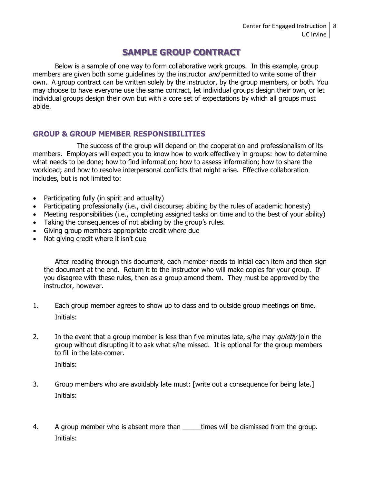## **SAMPLE GROUP CONTRACT**

Below is a sample of one way to form collaborative work groups. In this example, group members are given both some guidelines by the instructor *and* permitted to write some of their own. A group contract can be written solely by the instructor, by the group members, or both. You may choose to have everyone use the same contract, let individual groups design their own, or let individual groups design their own but with a core set of expectations by which all groups must abide.

#### **GROUP & GROUP MEMBER RESPONSIBILITIES**

The success of the group will depend on the cooperation and professionalism of its members. Employers will expect you to know how to work effectively in groups: how to determine what needs to be done; how to find information; how to assess information; how to share the workload; and how to resolve interpersonal conflicts that might arise. Effective collaboration includes, but is not limited to:

- Participating fully (in spirit and actuality)
- Participating professionally (i.e., civil discourse; abiding by the rules of academic honesty)
- Meeting responsibilities (i.e., completing assigned tasks on time and to the best of your ability)
- Taking the consequences of not abiding by the group's rules.
- Giving group members appropriate credit where due
- Not giving credit where it isn't due

After reading through this document, each member needs to initial each item and then sign the document at the end. Return it to the instructor who will make copies for your group. If you disagree with these rules, then as a group amend them. They must be approved by the instructor, however.

- 1. Each group member agrees to show up to class and to outside group meetings on time. Initials:
- 2. In the event that a group member is less than five minutes late, s/he may *quietly* join the group without disrupting it to ask what s/he missed. It is optional for the group members to fill in the late-comer.

Initials:

- 3. Group members who are avoidably late must: [write out a consequence for being late.] Initials:
- 4. A group member who is absent more than \_\_\_\_\_times will be dismissed from the group. Initials: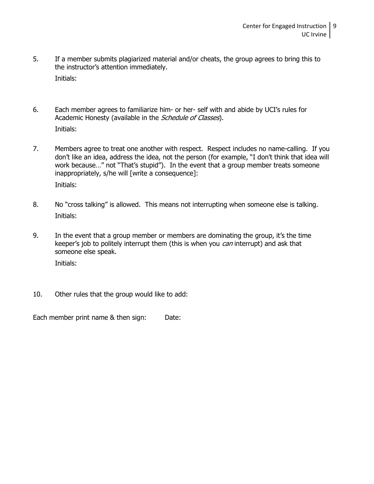- 5. If a member submits plagiarized material and/or cheats, the group agrees to bring this to the instructor's attention immediately. Initials:
- 6. Each member agrees to familiarize him- or her- self with and abide by UCI's rules for Academic Honesty (available in the *Schedule of Classes*). Initials:
- 7. Members agree to treat one another with respect. Respect includes no name-calling. If you don't like an idea, address the idea, not the person (for example, "I don't think that idea will work because…" not "That's stupid"). In the event that a group member treats someone inappropriately, s/he will [write a consequence]: Initials:
- 8. No "cross talking" is allowed. This means not interrupting when someone else is talking. Initials:
- 9. In the event that a group member or members are dominating the group, it's the time keeper's job to politely interrupt them (this is when you *can* interrupt) and ask that someone else speak.

Initials:

10. Other rules that the group would like to add:

Each member print name & then sign: Date: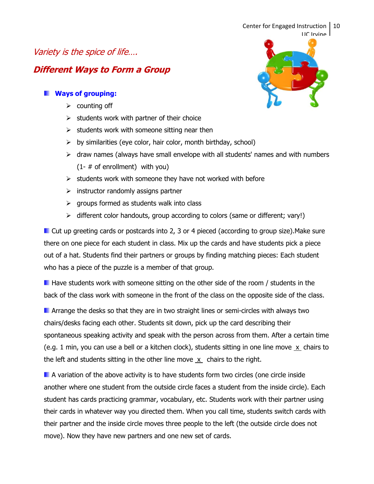## Variety is the spice of life….

## **Different Ways to Form a Group**

#### **Ways of grouping:**

- $\triangleright$  counting off
- $\triangleright$  students work with partner of their choice
- $\triangleright$  students work with someone sitting near then
- $\triangleright$  by similarities (eye color, hair color, month birthday, school)
- $\triangleright$  draw names (always have small envelope with all students' names and with numbers  $(1 - # of enrollment)$  with you)
- $\triangleright$  students work with someone they have not worked with before
- $\triangleright$  instructor randomly assigns partner
- $\triangleright$  groups formed as students walk into class
- $\triangleright$  different color handouts, group according to colors (same or different; vary!)

■ Cut up greeting cards or postcards into 2, 3 or 4 pieced (according to group size).Make sure there on one piece for each student in class. Mix up the cards and have students pick a piece out of a hat. Students find their partners or groups by finding matching pieces: Each student who has a piece of the puzzle is a member of that group.

**H** Have students work with someone sitting on the other side of the room / students in the back of the class work with someone in the front of the class on the opposite side of the class.

**Arrange the desks so that they are in two straight lines or semi-circles with always two** chairs/desks facing each other. Students sit down, pick up the card describing their spontaneous speaking activity and speak with the person across from them. After a certain time (e.g. 1 min, you can use a bell or a kitchen clock), students sitting in one line move  $x$  chairs to the left and students sitting in the other line move  $x$  chairs to the right.

A variation of the above activity is to have students form two circles (one circle inside another where one student from the outside circle faces a student from the inside circle). Each student has cards practicing grammar, vocabulary, etc. Students work with their partner using their cards in whatever way you directed them. When you call time, students switch cards with their partner and the inside circle moves three people to the left (the outside circle does not move). Now they have new partners and one new set of cards.

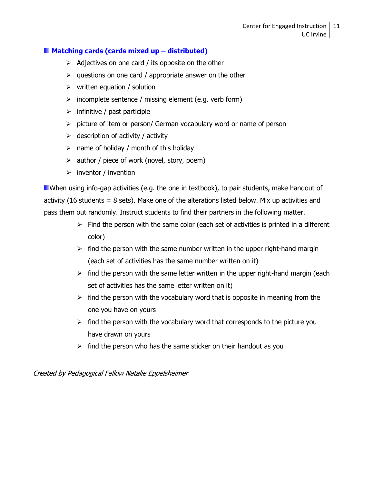#### **Matching cards (cards mixed up – distributed)**

- $\triangleright$  Adjectives on one card / its opposite on the other
- $\triangleright$  questions on one card / appropriate answer on the other
- $\triangleright$  written equation / solution
- $\triangleright$  incomplete sentence / missing element (e.g. verb form)
- $\triangleright$  infinitive / past participle
- $\triangleright$  picture of item or person/ German vocabulary word or name of person
- $\triangleright$  description of activity / activity
- $\triangleright$  name of holiday / month of this holiday
- $\triangleright$  author / piece of work (novel, story, poem)
- $\triangleright$  inventor / invention

When using info-gap activities (e.g. the one in textbook), to pair students, make handout of activity (16 students  $= 8$  sets). Make one of the alterations listed below. Mix up activities and pass them out randomly. Instruct students to find their partners in the following matter.

- $\triangleright$  Find the person with the same color (each set of activities is printed in a different color)
- $\triangleright$  find the person with the same number written in the upper right-hand margin (each set of activities has the same number written on it)
- $\triangleright$  find the person with the same letter written in the upper right-hand margin (each set of activities has the same letter written on it)
- $\triangleright$  find the person with the vocabulary word that is opposite in meaning from the one you have on yours
- $\triangleright$  find the person with the vocabulary word that corresponds to the picture you have drawn on yours
- $\triangleright$  find the person who has the same sticker on their handout as you

Created by Pedagogical Fellow Natalie Eppelsheimer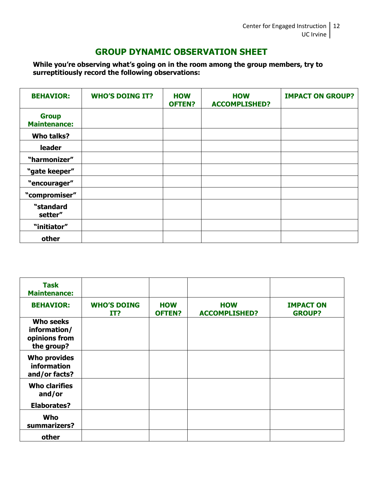## **GROUP DYNAMIC OBSERVATION SHEET**

**While you're observing what's going on in the room among the group members, try to surreptitiously record the following observations:**

| <b>BEHAVIOR:</b>                    | <b>WHO'S DOING IT?</b> | <b>HOW</b><br><b>OFTEN?</b> | <b>HOW</b><br><b>ACCOMPLISHED?</b> | <b>IMPACT ON GROUP?</b> |
|-------------------------------------|------------------------|-----------------------------|------------------------------------|-------------------------|
| <b>Group</b><br><b>Maintenance:</b> |                        |                             |                                    |                         |
| Who talks?                          |                        |                             |                                    |                         |
| leader                              |                        |                             |                                    |                         |
| "harmonizer"                        |                        |                             |                                    |                         |
| "gate keeper"                       |                        |                             |                                    |                         |
| "encourager"                        |                        |                             |                                    |                         |
| "compromiser"                       |                        |                             |                                    |                         |
| "standard<br>setter"                |                        |                             |                                    |                         |
| "initiator"                         |                        |                             |                                    |                         |
| other                               |                        |                             |                                    |                         |

| <b>Task</b><br><b>Maintenance:</b>                              |                           |                             |                                    |                                   |
|-----------------------------------------------------------------|---------------------------|-----------------------------|------------------------------------|-----------------------------------|
| <b>BEHAVIOR:</b>                                                | <b>WHO'S DOING</b><br>IT? | <b>HOW</b><br><b>OFTEN?</b> | <b>HOW</b><br><b>ACCOMPLISHED?</b> | <b>IMPACT ON</b><br><b>GROUP?</b> |
| <b>Who seeks</b><br>information/<br>opinions from<br>the group? |                           |                             |                                    |                                   |
| <b>Who provides</b><br>information<br>and/or facts?             |                           |                             |                                    |                                   |
| <b>Who clarifies</b><br>and/or                                  |                           |                             |                                    |                                   |
| <b>Elaborates?</b><br><b>Who</b>                                |                           |                             |                                    |                                   |
| summarizers?<br>other                                           |                           |                             |                                    |                                   |